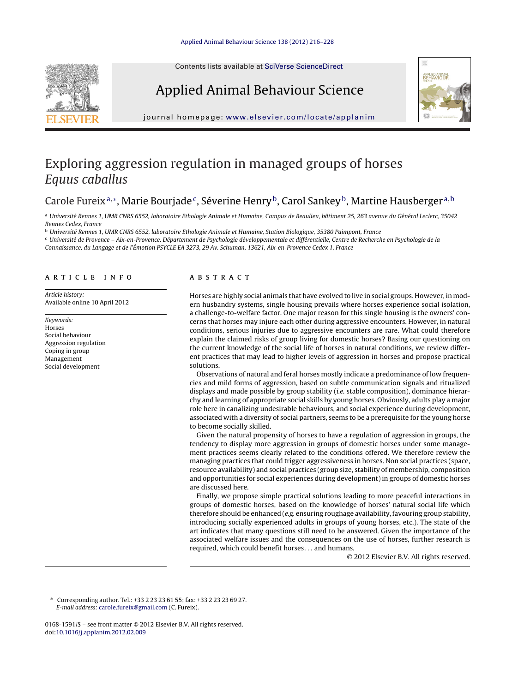Contents lists available at SciVerse [ScienceDirect](http://www.sciencedirect.com/science/journal/01681591)

# Applied Animal Behaviour Science



journal homepage: [www.elsevier.com/locate/applanim](http://www.elsevier.com/locate/applanim)

## Exploring aggression regulation in managed groups of horses Equus caballus

## Carole Fureix<sup>a,∗</sup>, Marie Bourjade<sup>c</sup>, Séverine Henry<sup>b</sup>, Carol Sankey<sup>b</sup>, Martine Hausberger<sup>a,b</sup>

<sup>a</sup> Université Rennes 1, UMR CNRS 6552, laboratoire Ethologie Animale et Humaine, Campus de Beaulieu, bâtiment 25, 263 avenue du Général Leclerc, 35042 Rennes Cedex, France

<sup>b</sup> Université Rennes 1, UMR CNRS 6552, laboratoire Ethologie Animale et Humaine, Station Biologique, 35380 Paimpont, France

<sup>c</sup> Université de Provence – Aix-en-Provence, Département de Psychologie développementale et différentielle, Centre de Recherche en Psychologie de la Connaissance, du Langage et de l'Émotion PSYCLE EA 3273, 29 Av. Schuman, 13621, Aix-en-Provence Cedex 1, France

## a r t i c l e i n f o

Article history: Available online 10 April 2012

Keywords: Horses Social behaviour Aggression regulation Coping in group Management Social development

## a b s t r a c t

Horses are highly social animals that have evolved to live in social groups. However, in modern husbandry systems, single housing prevails where horses experience social isolation, a challenge-to-welfare factor. One major reason for this single housing is the owners' concerns that horses may injure each other during aggressive encounters. However, in natural conditions, serious injuries due to aggressive encounters are rare. What could therefore explain the claimed risks of group living for domestic horses? Basing our questioning on the current knowledge of the social life of horses in natural conditions, we review different practices that may lead to higher levels of aggression in horses and propose practical solutions.

Observations of natural and feral horses mostly indicate a predominance of low frequencies and mild forms of aggression, based on subtle communication signals and ritualized displays and made possible by group stability (i.e. stable composition), dominance hierarchy and learning of appropriate social skills by young horses. Obviously, adults play a major role here in canalizing undesirable behaviours, and social experience during development, associated with a diversity of social partners, seems to be a prerequisite for the young horse to become socially skilled.

Given the natural propensity of horses to have a regulation of aggression in groups, the tendency to display more aggression in groups of domestic horses under some management practices seems clearly related to the conditions offered. We therefore review the managing practices that could trigger aggressiveness in horses. Non social practices (space, resource availability) and social practices (group size, stability of membership, composition and opportunities for social experiences during development) in groups of domestic horses are discussed here.

Finally, we propose simple practical solutions leading to more peaceful interactions in groups of domestic horses, based on the knowledge of horses' natural social life which therefore should be enhanced (e.g. ensuring roughage availability, favouring group stability, introducing socially experienced adults in groups of young horses, etc.). The state of the art indicates that many questions still need to be answered. Given the importance of the associated welfare issues and the consequences on the use of horses, further research is required, which could benefit horses. . . and humans.

© 2012 Elsevier B.V. All rights reserved.

∗ Corresponding author. Tel.: +33 2 23 23 61 55; fax: +33 2 23 23 69 27. E-mail address: [carole.fureix@gmail.com](mailto:carole.fureix@gmail.com) (C. Fureix).

0168-1591/\$ – see front matter © 2012 Elsevier B.V. All rights reserved. doi:[10.1016/j.applanim.2012.02.009](dx.doi.org/10.1016/j.applanim.2012.02.009)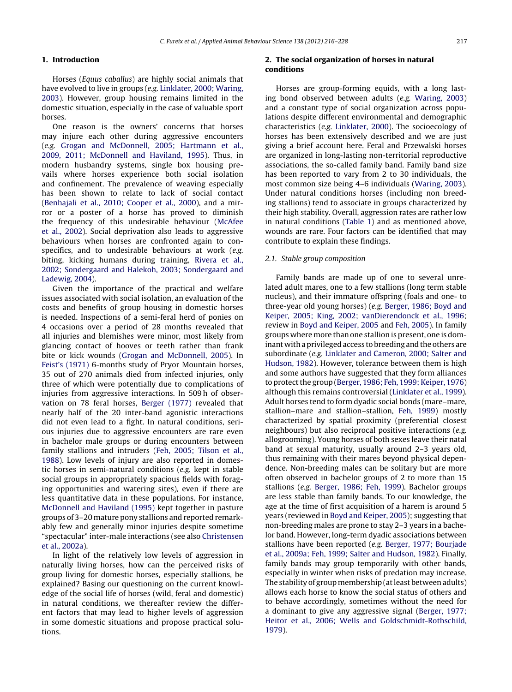## **1. Introduction**

Horses (Equus caballus) are highly social animals that have evolved to live in groups (e.g. [Linklater,](#page-12-0) [2000;](#page-12-0) [Waring,](#page-12-0) [2003\).](#page-12-0) However, group housing remains limited in the domestic situation, especially in the case of valuable sport horses.

One reason is the owners' concerns that horses may injure each other during aggressive encounters (e.g. [Grogan](#page-11-0) [and](#page-11-0) [McDonnell,](#page-11-0) [2005;](#page-11-0) [Hartmann](#page-11-0) et [al.,](#page-11-0) [2009,](#page-11-0) [2011;](#page-11-0) [McDonnell](#page-11-0) [and](#page-11-0) [Haviland,](#page-11-0) [1995\).](#page-11-0) Thus, in modern husbandry systems, single box housing prevails where horses experience both social isolation and confinement. The prevalence of weaving especially has been shown to relate to lack of social contact [\(Benhajali](#page-11-0) et [al.,](#page-11-0) [2010;](#page-11-0) [Cooper](#page-11-0) et [al.,](#page-11-0) [2000\),](#page-11-0) and a mirror or a poster of a horse has proved to diminish the frequency of this undesirable behaviour ([McAfee](#page-12-0) et [al.,](#page-12-0) [2002\).](#page-12-0) Social deprivation also leads to aggressive behaviours when horses are confronted again to conspecifics, and to undesirable behaviours at work (e.g. biting, kicking humans during training, [Rivera](#page-12-0) et [al.,](#page-12-0) [2002;](#page-12-0) [Sondergaard](#page-12-0) [and](#page-12-0) [Halekoh,](#page-12-0) [2003;](#page-12-0) [Sondergaard](#page-12-0) [and](#page-12-0) [Ladewig,](#page-12-0) [2004\).](#page-12-0)

Given the importance of the practical and welfare issues associated with social isolation, an evaluation of the costs and benefits of group housing in domestic horses is needed. Inspections of a semi-feral herd of ponies on 4 occasions over a period of 28 months revealed that all injuries and blemishes were minor, most likely from glancing contact of hooves or teeth rather than frank bite or kick wounds [\(Grogan](#page-11-0) [and](#page-11-0) [McDonnell,](#page-11-0) [2005\).](#page-11-0) In [Feist's](#page-11-0) [\(1971\)](#page-11-0) 6-months study of Pryor Mountain horses, 35 out of 270 animals died from infected injuries, only three of which were potentially due to complications of injuries from aggressive interactions. In 509 h of observation on 78 feral horses, [Berger](#page-11-0) [\(1977\)](#page-11-0) revealed that nearly half of the 20 inter-band agonistic interactions did not even lead to a fight. In natural conditions, serious injuries due to aggressive encounters are rare even in bachelor male groups or during encounters between family stallions and intruders ([Feh,](#page-11-0) [2005;](#page-11-0) [Tilson](#page-11-0) et [al.,](#page-11-0) [1988\).](#page-11-0) Low levels of injury are also reported in domestic horses in semi-natural conditions (e.g. kept in stable social groups in appropriately spacious fields with foraging opportunities and watering sites), even if there are less quantitative data in these populations. For instance, [McDonnell](#page-12-0) [and](#page-12-0) [Haviland](#page-12-0) [\(1995\)](#page-12-0) kept together in pasture groups of 3–20 mature pony stallions and reported remarkably few and generally minor injuries despite sometime "spectacular" inter-male interactions (see also [Christensen](#page-11-0) et [al.,](#page-11-0) [2002a\).](#page-11-0)

In light of the relatively low levels of aggression in naturally living horses, how can the perceived risks of group living for domestic horses, especially stallions, be explained? Basing our questioning on the current knowledge of the social life of horses (wild, feral and domestic) in natural conditions, we thereafter review the different factors that may lead to higher levels of aggression in some domestic situations and propose practical solutions.

## **2. The social organization of horses in natural conditions**

Horses are group-forming equids, with a long lasting bond observed between adults (e.g. [Waring,](#page-12-0) [2003\)](#page-12-0) and a constant type of social organization across populations despite different environmental and demographic characteristics (e.g. [Linklater,](#page-12-0) [2000\).](#page-12-0) The socioecology of horses has been extensively described and we are just giving a brief account here. Feral and Przewalski horses are organized in long-lasting non-territorial reproductive associations, the so-called family band. Family band size has been reported to vary from 2 to 30 individuals, the most common size being 4–6 individuals [\(Waring,](#page-12-0) [2003\).](#page-12-0) Under natural conditions horses (including non breeding stallions) tend to associate in groups characterized by their high stability. Overall, aggression rates are rather low in natural conditions [\(Table](#page-2-0) 1) and as mentioned above, wounds are rare. Four factors can be identified that may contribute to explain these findings.

### 2.1. Stable group composition

Family bands are made up of one to several unrelated adult mares, one to a few stallions (long term stable nucleus), and their immature offspring (foals and one- to three-year old young horses) (e.g. [Berger,](#page-11-0) [1986;](#page-11-0) [Boyd](#page-11-0) [and](#page-11-0) [Keiper,](#page-11-0) [2005;](#page-11-0) [King,](#page-11-0) [2002;](#page-11-0) [vanDierendonck](#page-11-0) et [al.,](#page-11-0) [1996;](#page-11-0) review in [Boyd](#page-11-0) [and](#page-11-0) [Keiper,](#page-11-0) [2005](#page-11-0) and [Feh,](#page-11-0) [2005\).](#page-11-0) In family groups wheremore than one stallion is present, one is dominant with a privileged access to breeding and the others are subordinate (e.g. [Linklater](#page-12-0) [and](#page-12-0) [Cameron,](#page-12-0) [2000;](#page-12-0) [Salter](#page-12-0) [and](#page-12-0) [Hudson,](#page-12-0) [1982\).](#page-12-0) However, tolerance between them is high and some authors have suggested that they form alliances to protect the group [\(Berger,](#page-11-0) [1986;](#page-11-0) [Feh,](#page-11-0) 1999; Keiper, [1976\)](#page-11-0) although this remains controversial ([Linklater](#page-12-0) et [al.,](#page-12-0) [1999\).](#page-12-0) Adult horses tend to form dyadic social bonds (mare–mare, stallion–mare and stallion–stallion, [Feh,](#page-11-0) [1999\)](#page-11-0) mostly characterized by spatial proximity (preferential closest neighbours) but also reciprocal positive interactions (e.g. allogrooming). Young horses of both sexes leave their natal band at sexual maturity, usually around 2–3 years old, thus remaining with their mares beyond physical dependence. Non-breeding males can be solitary but are more often observed in bachelor groups of 2 to more than 15 stallions (e.g. [Berger,](#page-11-0) [1986;](#page-11-0) [Feh,](#page-11-0) [1999\).](#page-11-0) Bachelor groups are less stable than family bands. To our knowledge, the age at the time of first acquisition of a harem is around 5 years (reviewed in [Boyd](#page-11-0) [and](#page-11-0) [Keiper,](#page-11-0) [2005\);](#page-11-0) suggesting that non-breeding males are prone to stay 2–3 years in a bachelor band. However, long-term dyadic associations between stallions have been reported (e.g. [Berger,](#page-11-0) [1977;](#page-11-0) [Bourjade](#page-11-0) et [al.,](#page-11-0) [2009a;](#page-11-0) [Feh,](#page-11-0) [1999;](#page-11-0) [Salter](#page-11-0) [and](#page-11-0) [Hudson,](#page-11-0) [1982\).](#page-11-0) Finally, family bands may group temporarily with other bands, especially in winter when risks of predation may increase. The stability of group membership (at least between adults) allows each horse to know the social status of others and to behave accordingly, sometimes without the need for a dominant to give any aggressive signal ([Berger,](#page-11-0) [1977;](#page-11-0) [Heitor](#page-11-0) et [al.,](#page-11-0) [2006;](#page-11-0) [Wells](#page-11-0) [and](#page-11-0) [Goldschmidt-Rothschild,](#page-11-0) [1979\).](#page-11-0)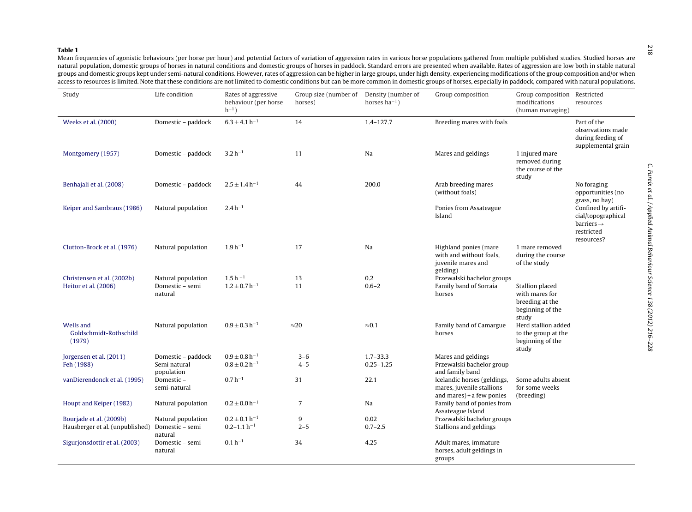#### <span id="page-2-0"></span>**Table 1**

 Mean frequencies of agonistic behaviours (per horse per hour) and potential factors of variation of aggression rates in various horse populations gathered from multiple published studies. Studied horses are natural population, domestic groups of horses in natural conditions and domestic groups of horses in paddock. Standard errors are presented when available. Rates of aggression are low both in stable natural groups and domestic groups kept under semi-natural conditions. However, rates of aggression can be higher in large groups, under high density, experiencing modifications of the group composition and/or when access to resources is limited. Note that these conditions are not limited to domestic conditions but can be more common in domestic groups of horses, especially in paddock, compared with natural populations.

| Study                                                      | Life condition                                   | Rates of aggressive<br>behaviour (per horse<br>$h^{-1}$ ) | Group size (number of<br>horses) | Density (number of<br>horses $ha^{-1}$ ) | Group composition                                                                      | Group composition Restricted<br>modifications<br>(human managing)                 | resources                                                                                       |
|------------------------------------------------------------|--------------------------------------------------|-----------------------------------------------------------|----------------------------------|------------------------------------------|----------------------------------------------------------------------------------------|-----------------------------------------------------------------------------------|-------------------------------------------------------------------------------------------------|
| Weeks et al. (2000)                                        | Domestic - paddock                               | $6.3 \pm 4.1 h^{-1}$                                      | 14                               | $1.4 - 127.7$                            | Breeding mares with foals                                                              |                                                                                   | Part of the<br>observations made<br>during feeding of<br>supplemental grain                     |
| Montgomery (1957)                                          | Domestic - paddock                               | $3.2 h^{-1}$                                              | 11                               | Na                                       | Mares and geldings                                                                     | 1 injured mare<br>removed during<br>the course of the<br>study                    |                                                                                                 |
| Benhajali et al. (2008)                                    | Domestic - paddock                               | $2.5 \pm 1.4 h^{-1}$                                      | 44                               | 200.0                                    | Arab breeding mares<br>(without foals)                                                 |                                                                                   | No foraging<br>opportunities (no<br>grass, no hay)                                              |
| Keiper and Sambraus (1986)                                 | Natural population                               | $2.4 h^{-1}$                                              |                                  |                                          | Ponies from Assateague<br>Island                                                       |                                                                                   | Confined by artifi-<br>cial/topographical<br>$barriers \rightarrow$<br>restricted<br>resources? |
| Clutton-Brock et al. (1976)                                | Natural population                               | $1.9 h^{-1}$                                              | 17                               | Na                                       | Highland ponies (mare<br>with and without foals,<br>juvenile mares and<br>gelding)     | 1 mare removed<br>during the course<br>of the study                               |                                                                                                 |
| Christensen et al. (2002b)                                 | Natural population                               | $1.5 h^{-1}$                                              | 13                               | 0.2                                      | Przewalski bachelor groups                                                             |                                                                                   |                                                                                                 |
| Heitor et al. (2006)                                       | Domestic - semi<br>natural                       | $1.2 \pm 0.7 h^{-1}$                                      | 11                               | $0.6 - 2$                                | Family band of Sorraia<br>horses                                                       | Stallion placed<br>with mares for<br>breeding at the<br>beginning of the<br>study |                                                                                                 |
| Wells and<br>Goldschmidt-Rothschild<br>(1979)              | Natural population                               | $0.9 \pm 0.3 h^{-1}$                                      | $\approx$ 20                     | $\approx 0.1$                            | Family band of Camargue<br>horses                                                      | Herd stallion added<br>to the group at the<br>beginning of the<br>study           |                                                                                                 |
| Jorgensen et al. (2011)<br>Feh (1988)                      | Domestic - paddock<br>Semi natural<br>population | $0.9 \pm 0.8 h^{-1}$<br>$0.8 \pm 0.2 h^{-1}$              | $3 - 6$<br>$4 - 5$               | $1.7 - 33.3$<br>$0.25 - 1.25$            | Mares and geldings<br>Przewalski bachelor group<br>and family band                     |                                                                                   |                                                                                                 |
| vanDierendonck et al. (1995)                               | Domestic-<br>semi-natural                        | $0.7 h^{-1}$                                              | 31                               | 22.1                                     | Icelandic horses (geldings,<br>mares, juvenile stallions<br>and mares $)+a$ few ponies | Some adults absent<br>for some weeks<br>(breeding)                                |                                                                                                 |
| Houpt and Keiper (1982)                                    | Natural population                               | $0.2 \pm 0.0 h^{-1}$                                      | $\overline{7}$                   | Na                                       | Family band of ponies from<br>Assateague Island                                        |                                                                                   |                                                                                                 |
| Bourjade et al. (2009b)<br>Hausberger et al. (unpublished) | Natural population<br>Domestic - semi<br>natural | $0.2 \pm 0.1 h^{-1}$<br>$0.2 - 1.1 h^{-1}$                | 9<br>$2 - 5$                     | 0.02<br>$0.7 - 2.5$                      | Przewalski bachelor groups<br>Stallions and geldings                                   |                                                                                   |                                                                                                 |
| Sigurjonsdottir et al. (2003)                              | Domestic - semi<br>natural                       | $0.1 h^{-1}$                                              | 34                               | 4.25                                     | Adult mares, immature<br>horses, adult geldings in<br>groups                           |                                                                                   |                                                                                                 |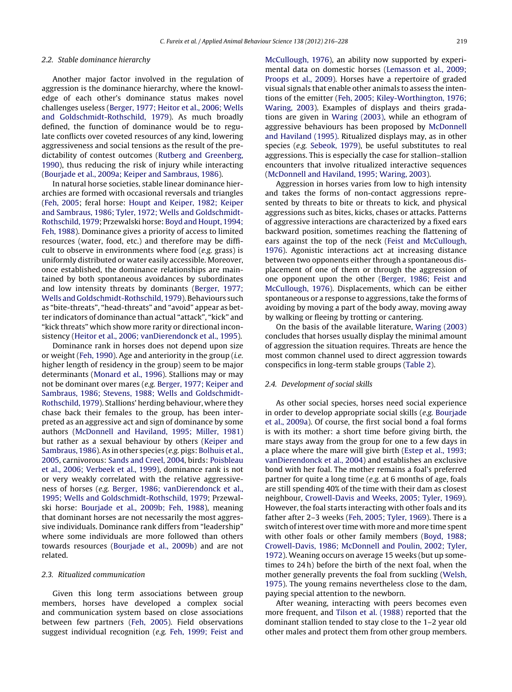## <span id="page-3-0"></span>2.2. Stable dominance hierarchy

Another major factor involved in the regulation of aggression is the dominance hierarchy, where the knowledge of each other's dominance status makes novel challenges useless ([Berger,](#page-11-0) [1977;](#page-11-0) [Heitor](#page-11-0) et [al.,](#page-11-0) [2006;](#page-11-0) [Wells](#page-11-0) [and](#page-11-0) [Goldschmidt-Rothschild,](#page-11-0) [1979\).](#page-11-0) As much broadly defined, the function of dominance would be to regulate conflicts over coveted resources of any kind, lowering aggressiveness and social tensions as the result of the predictability of contest outcomes [\(Rutberg](#page-12-0) [and](#page-12-0) [Greenberg,](#page-12-0) [1990\),](#page-12-0) thus reducing the risk of injury while interacting [\(Bourjade](#page-11-0) et [al.,](#page-11-0) [2009a;](#page-11-0) [Keiper](#page-11-0) [and](#page-11-0) [Sambraus,](#page-11-0) [1986\).](#page-11-0)

In natural horse societies, stable linear dominance hierarchies are formed with occasional reversals and triangles [\(Feh,](#page-11-0) [2005;](#page-11-0) feral horse: [Houpt](#page-11-0) [and](#page-11-0) [Keiper,](#page-11-0) [1982;](#page-11-0) [Keiper](#page-11-0) [and](#page-11-0) [Sambraus,](#page-11-0) [1986;](#page-11-0) [Tyler,](#page-11-0) [1972;](#page-11-0) [Wells](#page-11-0) [and](#page-11-0) [Goldschmidt-](#page-11-0)Rothschild, [1979;](#page-11-0) Przewalski horse: [Boyd](#page-11-0) [and](#page-11-0) [Houpt,](#page-11-0) [1994;](#page-11-0) [Feh,](#page-11-0) [1988\).](#page-11-0) Dominance gives a priority of access to limited resources (water, food, etc.) and therefore may be difficult to observe in environments where food (e.g. grass) is uniformly distributed or water easily accessible. Moreover, once established, the dominance relationships are maintained by both spontaneous avoidances by subordinates and low intensity threats by dominants [\(Berger,](#page-11-0) [1977;](#page-11-0) [Wells](#page-11-0) [and](#page-11-0) [Goldschmidt-Rothschild,](#page-11-0) [1979\).](#page-11-0) Behaviours such as "bite-threats", "head-threats" and "avoid" appear as better indicators of dominance than actual "attack", "kick" and "kick threats" which show more rarity or directional inconsistency [\(Heitor](#page-11-0) et [al.,](#page-11-0) [2006;](#page-11-0) [vanDierendonck](#page-11-0) et [al.,](#page-11-0) [1995\).](#page-11-0)

Dominance rank in horses does not depend upon size or weight ([Feh,](#page-11-0) [1990\).](#page-11-0) Age and anteriority in the group (i.e. higher length of residency in the group) seem to be major determinants [\(Monard](#page-12-0) et [al.,](#page-12-0) [1996\).](#page-12-0) Stallions may or may not be dominant over mares (e.g. [Berger,](#page-11-0) [1977;](#page-11-0) [Keiper](#page-11-0) [and](#page-11-0) [Sambraus,](#page-11-0) [1986;](#page-11-0) [Stevens,](#page-11-0) [1988;](#page-11-0) [Wells](#page-11-0) [and](#page-11-0) [Goldschmidt-](#page-11-0)Rothschild, [1979\).](#page-11-0) Stallions' herding behaviour, where they chase back their females to the group, has been interpreted as an aggressive act and sign of dominance by some authors [\(McDonnell](#page-12-0) [and](#page-12-0) [Haviland,](#page-12-0) [1995;](#page-12-0) [Miller,](#page-12-0) [1981\)](#page-12-0) but rather as a sexual behaviour by others ([Keiper](#page-12-0) [and](#page-12-0) [Sambraus,](#page-12-0) [1986\).](#page-12-0) As in other species (e.g. pigs: [Bolhuis](#page-11-0) et [al.,](#page-11-0) [2005,](#page-11-0) carnivorous: [Sands](#page-12-0) [and](#page-12-0) [Creel,](#page-12-0) [2004,](#page-12-0) birds: [Poisbleau](#page-12-0) et [al.,](#page-12-0) [2006;](#page-12-0) [Verbeek](#page-12-0) et [al.,](#page-12-0) [1999\),](#page-12-0) dominance rank is not or very weakly correlated with the relative aggressiveness of horses (e.g. [Berger,](#page-11-0) [1986;](#page-11-0) [vanDierendonck](#page-11-0) et [al.,](#page-11-0) [1995;](#page-11-0) [Wells](#page-11-0) [and](#page-11-0) [Goldschmidt-Rothschild,](#page-11-0) [1979;](#page-11-0) Przewalski horse: [Bourjade](#page-11-0) et [al.,](#page-11-0) [2009b;](#page-11-0) [Feh,](#page-11-0) [1988\),](#page-11-0) meaning that dominant horses are not necessarily the most aggressive individuals. Dominance rank differs from "leadership" where some individuals are more followed than others towards resources [\(Bourjade](#page-11-0) et [al.,](#page-11-0) [2009b\)](#page-11-0) and are not related.

#### 2.3. Ritualized communication

Given this long term associations between group members, horses have developed a complex social and communication system based on close associations between few partners ([Feh,](#page-11-0) [2005\).](#page-11-0) Field observations suggest individual recognition (e.g. [Feh,](#page-11-0) [1999;](#page-11-0) [Feist](#page-11-0) [and](#page-11-0) [McCullough,](#page-11-0) [1976\),](#page-11-0) an ability now supported by experimental data on domestic horses ([Lemasson](#page-12-0) et [al.,](#page-12-0) [2009;](#page-12-0) [Proops](#page-12-0) et [al.,](#page-12-0) [2009\).](#page-12-0) Horses have a repertoire of graded visual signals that enable other animals to assess the intentions of the emitter [\(Feh,](#page-11-0) [2005;](#page-11-0) [Kiley-Worthington,](#page-11-0) [1976;](#page-11-0) [Waring,](#page-11-0) [2003\).](#page-11-0) Examples of displays and theirs gradations are given in [Waring](#page-12-0) [\(2003\),](#page-12-0) while an ethogram of aggressive behaviours has been proposed by [McDonnell](#page-12-0) [and](#page-12-0) [Haviland](#page-12-0) [\(1995\).](#page-12-0) Ritualized displays may, as in other species (e.g. [Sebeok,](#page-12-0) [1979\),](#page-12-0) be useful substitutes to real aggressions. This is especially the case for stallion–stallion encounters that involve ritualized interactive sequences [\(McDonnell](#page-12-0) [and](#page-12-0) [Haviland,](#page-12-0) [1995;](#page-12-0) [Waring,](#page-12-0) [2003\).](#page-12-0)

Aggression in horses varies from low to high intensity and takes the forms of non-contact aggressions represented by threats to bite or threats to kick, and physical aggressions such as bites, kicks, chases or attacks. Patterns of aggressive interactions are characterized by a fixed ears backward position, sometimes reaching the flattening of ears against the top of the neck ([Feist](#page-11-0) [and](#page-11-0) [McCullough,](#page-11-0) [1976\).](#page-11-0) Agonistic interactions act at increasing distance between two opponents either through a spontaneous displacement of one of them or through the aggression of one opponent upon the other ([Berger,](#page-11-0) [1986;](#page-11-0) [Feist](#page-11-0) [and](#page-11-0) [McCullough,](#page-11-0) [1976\).](#page-11-0) Displacements, which can be either spontaneous or a response to aggressions, take the forms of avoiding by moving a part of the body away, moving away by walking or fleeing by trotting or cantering.

On the basis of the available literature, [Waring](#page-12-0) [\(2003\)](#page-12-0) concludes that horses usually display the minimal amount of aggression the situation requires. Threats are hence the most common channel used to direct aggression towards conspecifics in long-term stable groups ([Table](#page-4-0) 2).

## 2.4. Development of social skills

As other social species, horses need social experience in order to develop appropriate social skills (e.g. [Bourjade](#page-11-0) et [al.,](#page-11-0) [2009a\).](#page-11-0) Of course, the first social bond a foal forms is with its mother: a short time before giving birth, the mare stays away from the group for one to a few days in a place where the mare will give birth [\(Estep](#page-11-0) et [al.,](#page-11-0) [1993;](#page-11-0) [vanDierendonck](#page-11-0) et [al.,](#page-11-0) [2004\)](#page-11-0) and establishes an exclusive bond with her foal. The mother remains a foal's preferred partner for quite a long time (e.g. at 6 months of age, foals are still spending 40% of the time with their dam as closest neighbour, [Crowell-Davis](#page-11-0) [and](#page-11-0) [Weeks,](#page-11-0) [2005;](#page-11-0) [Tyler,](#page-11-0) [1969\).](#page-11-0) However, the foal starts interacting with other foals and its father after 2–3 weeks [\(Feh,](#page-11-0) [2005;](#page-11-0) [Tyler,](#page-11-0) [1969\).](#page-11-0) There is a switch of interest over time with more and more time spent with other foals or other family members ([Boyd,](#page-11-0) [1988;](#page-11-0) [Crowell-Davis,](#page-11-0) [1986;](#page-11-0) [McDonnell](#page-11-0) [and](#page-11-0) [Poulin,](#page-11-0) [2002;](#page-11-0) [Tyler,](#page-11-0) [1972\).](#page-11-0) Weaning occurs on average 15 weeks (but up sometimes to 24 h) before the birth of the next foal, when the mother generally prevents the foal from suckling [\(Welsh,](#page-12-0) [1975\).](#page-12-0) The young remains nevertheless close to the dam, paying special attention to the newborn.

After weaning, interacting with peers becomes even more frequent, and [Tilson](#page-12-0) et [al.](#page-12-0) [\(1988\)](#page-12-0) reported that the dominant stallion tended to stay close to the 1–2 year old other males and protect them from other group members.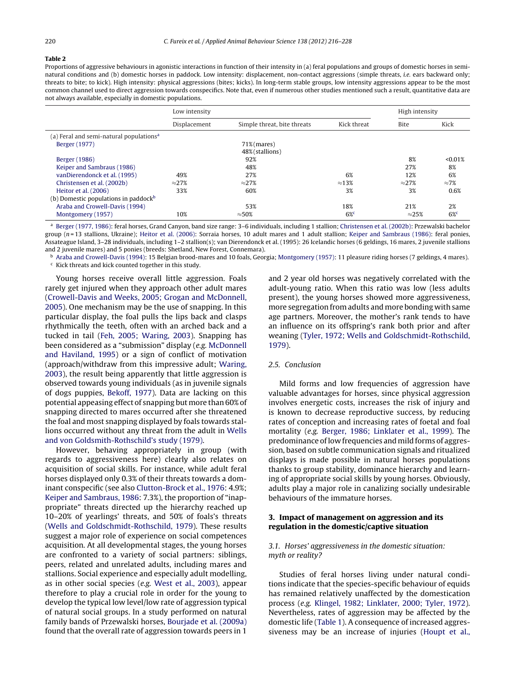### <span id="page-4-0"></span>**Table 2**

Proportions of aggressive behaviours in agonistic interactions in function of their intensity in (a) feral populations and groups of domestic horses in seminatural conditions and (b) domestic horses in paddock. Low intensity: displacement, non-contact aggressions (simple threats, i.e. ears backward only; threats to bite; to kick). High intensity: physical aggressions (bites; kicks). In long-term stable groups, low intensity aggressions appear to be the most common channel used to direct aggression towards conspecifics. Note that, even if numerous other studies mentioned such a result, quantitative data are not always available, especially in domestic populations.

|                                                     | Low intensity |                             |               | High intensity |               |
|-----------------------------------------------------|---------------|-----------------------------|---------------|----------------|---------------|
|                                                     | Displacement  | Simple threat, bite threats | Kick threat   | <b>Bite</b>    | Kick          |
| (a) Feral and semi-natural populations <sup>a</sup> |               |                             |               |                |               |
| Berger (1977)                                       |               | $71\%$ (mares)              |               |                |               |
|                                                     |               | 48% (stallions)             |               |                |               |
| Berger (1986)                                       |               | 92%                         |               | 8%             | < 0.01%       |
| Keiper and Sambraus (1986)                          |               | 48%                         |               | 27%            | 8%            |
| vanDierendonck et al. (1995)                        | 49%           | 27%                         | 6%            | 12%            | 6%            |
| Christensen et al. (2002b)                          | $\approx$ 27% | $\approx$ 27%               | $\approx$ 13% | $\approx$ 27%  | $\approx 7\%$ |
| Heitor et al. (2006)                                | 33%           | 60%                         | 3%            | 3%             | 0.6%          |
| (b) Domestic populations in paddock <sup>b</sup>    |               |                             |               |                |               |
| Araba and Crowell-Davis (1994)                      |               | 53%                         | 18%           | 21%            | 2%            |
| Montgomery (1957)                                   | 10%           | $\approx$ 50%               | $6\%$         | $\approx$ 25%  | $6\%$         |

<sup>a</sup> [Berger](#page-11-0) [\(1977,](#page-11-0) [1986\):](#page-11-0) feral horses, Grand Canyon, band size range: 3–6 individuals, including 1 stallion; [Christensen](#page-11-0) et [al.](#page-11-0) [\(2002b\):](#page-11-0) Przewalski bachelor group (n = 13 stallions, Ukraine); [Heitor](#page-11-0) et [al.](#page-11-0) [\(2006\):](#page-11-0) Sorraia horses, 10 adult mares and 1 adult stallion; [Keiper](#page-12-0) [and](#page-12-0) [Sambraus](#page-12-0) [\(1986\):](#page-12-0) feral ponies, Assateague Island, 3–28 individuals, including 1–2 stallion(s); van Dierendonck et al. (1995): 26 Icelandic horses (6 geldings, 16 mares, 2 juvenile stallions and 2 juvenile mares) and 5 ponies (breeds: Shetland, New Forest, Connemara).

**b** [Araba](#page-11-0) [and](#page-11-0) [Crowell-Davis](#page-11-0) [\(1994\):](#page-11-0) 15 Belgian brood-mares and 10 foals, Georgia; [Montgomery](#page-12-0) [\(1957\):](#page-12-0) 11 pleasure riding horses (7 geldings, 4 mares).  $c$  Kick threats and kick counted together in this study.

Young horses receive overall little aggression. Foals rarely get injured when they approach other adult mares [\(Crowell-Davis](#page-11-0) [and](#page-11-0) [Weeks,](#page-11-0) [2005;](#page-11-0) [Grogan](#page-11-0) [and](#page-11-0) [McDonnell,](#page-11-0) [2005\).](#page-11-0) One mechanism may be the use of snapping. In this particular display, the foal pulls the lips back and clasps rhythmically the teeth, often with an arched back and a tucked in tail ([Feh,](#page-11-0) [2005;](#page-11-0) [Waring,](#page-11-0) [2003\).](#page-11-0) Snapping has been considered as a "submission" display (e.g. [McDonnell](#page-12-0) [and](#page-12-0) [Haviland,](#page-12-0) [1995\)](#page-12-0) or a sign of conflict of motivation (approach/withdraw from this impressive adult; [Waring,](#page-12-0) [2003\),](#page-12-0) the result being apparently that little aggression is observed towards young individuals (as in juvenile signals of dogs puppies, [Bekoff,](#page-11-0) [1977\).](#page-11-0) Data are lacking on this potential appeasing effect of snapping but more than 60% of snapping directed to mares occurred after she threatened the foal and most snapping displayed by foals towards stallions occurred without any threat from the adult in [Wells](#page-12-0) [and](#page-12-0) [von](#page-12-0) [Goldsmith-Rothschild's](#page-12-0) [study](#page-12-0) [\(1979\).](#page-12-0)

However, behaving appropriately in group (with regards to aggressiveness here) clearly also relates on acquisition of social skills. For instance, while adult feral horses displayed only 0.3% of their threats towards a dominant conspecific (see also [Clutton-Brock](#page-11-0) et [al.,](#page-11-0) [1976:](#page-11-0) 4.9%; [Keiper](#page-12-0) [and](#page-12-0) [Sambraus,](#page-12-0) [1986:](#page-12-0) 7.3%), the proportion of "inappropriate" threats directed up the hierarchy reached up 10–20% of yearlings' threats, and 50% of foals's threats [\(Wells](#page-12-0) [and](#page-12-0) [Goldschmidt-Rothschild,](#page-12-0) [1979\).](#page-12-0) These results suggest a major role of experience on social competences acquisition. At all developmental stages, the young horses are confronted to a variety of social partners: siblings, peers, related and unrelated adults, including mares and stallions. Social experience and especially adult modelling, as in other social species (e.g. [West](#page-12-0) et [al.,](#page-12-0) [2003\),](#page-12-0) appear therefore to play a crucial role in order for the young to develop the typical low level/low rate of aggression typical of natural social groups. In a study performed on natural family bands of Przewalski horses, [Bourjade](#page-11-0) et [al.](#page-11-0) [\(2009a\)](#page-11-0) found that the overall rate of aggression towards peers in 1

and 2 year old horses was negatively correlated with the adult-young ratio. When this ratio was low (less adults present), the young horses showed more aggressiveness, more segregation from adults and more bonding with same age partners. Moreover, the mother's rank tends to have an influence on its offspring's rank both prior and after weaning [\(Tyler,](#page-12-0) [1972;](#page-12-0) [Wells](#page-12-0) [and](#page-12-0) [Goldschmidt-Rothschild,](#page-12-0) [1979\).](#page-12-0)

## 2.5. Conclusion

Mild forms and low frequencies of aggression have valuable advantages for horses, since physical aggression involves energetic costs, increases the risk of injury and is known to decrease reproductive success, by reducing rates of conception and increasing rates of foetal and foal mortality (e.g. [Berger,](#page-11-0) [1986;](#page-11-0) [Linklater](#page-11-0) et [al.,](#page-11-0) [1999\).](#page-11-0) The predominance oflow frequencies and mild forms of aggression, based on subtle communication signals and ritualized displays is made possible in natural horses populations thanks to group stability, dominance hierarchy and learning of appropriate social skills by young horses. Obviously, adults play a major role in canalizing socially undesirable behaviours of the immature horses.

## **3. Impact of management on aggression and its regulation in the domestic/captive situation**

## 3.1. Horses' aggressiveness in the domestic situation: myth or reality?

Studies of feral horses living under natural conditions indicate that the species-specific behaviour of equids has remained relatively unaffected by the domestication process (e.g. [Klingel,](#page-12-0) [1982;](#page-12-0) [Linklater,](#page-12-0) [2000;](#page-12-0) [Tyler,](#page-12-0) [1972\).](#page-12-0) Nevertheless, rates of aggression may be affected by the domestic life ([Table](#page-2-0) 1). A consequence of increased aggressiveness may be an increase of injuries [\(Houpt](#page-12-0) et [al.,](#page-12-0)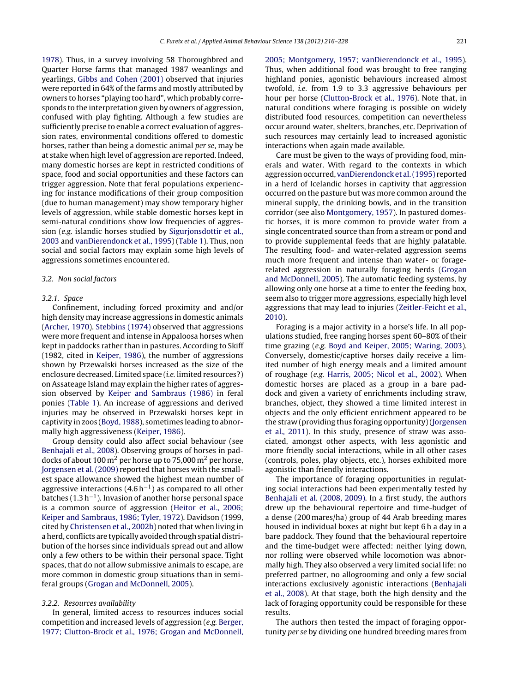[1978\).](#page-12-0) Thus, in a survey involving 58 Thoroughbred and Quarter Horse farms that managed 1987 weanlings and yearlings, [Gibbs](#page-11-0) [and](#page-11-0) [Cohen](#page-11-0) [\(2001\)](#page-11-0) observed that injuries were reported in 64% of the farms and mostly attributed by owners to horses "playing too hard", which probably corresponds to the interpretation given by owners of aggression, confused with play fighting. Although a few studies are sufficiently precise to enable a correct evaluation of aggression rates, environmental conditions offered to domestic horses, rather than being a domestic animal per se, may be at stake when high level of aggression are reported. Indeed, many domestic horses are kept in restricted conditions of space, food and social opportunities and these factors can trigger aggression. Note that feral populations experiencing for instance modifications of their group composition (due to human management) may show temporary higher levels of aggression, while stable domestic horses kept in semi-natural conditions show low frequencies of aggression (e.g. islandic horses studied by [Sigurjonsdottir](#page-12-0) et [al.,](#page-12-0) [2003](#page-12-0) and [vanDierendonck](#page-12-0) et [al.,](#page-12-0) [1995\)](#page-12-0) ([Table](#page-2-0) 1). Thus, non social and social factors may explain some high levels of aggressions sometimes encountered.

#### 3.2. Non social factors

#### 3.2.1. Space

Confinement, including forced proximity and and/or high density may increase aggressions in domestic animals [\(Archer,](#page-11-0) [1970\).](#page-11-0) [Stebbins](#page-12-0) [\(1974\)](#page-12-0) observed that aggressions were more frequent and intense in Appaloosa horses when kept in paddocks rather than in pastures. According to Skiff (1982, cited in [Keiper,](#page-12-0) [1986\),](#page-12-0) the number of aggressions shown by Przewalski horses increased as the size of the enclosure decreased. Limited space (*i.e.* limited resources?) on Assateage Island may explain the higher rates of aggression observed by [Keiper](#page-12-0) [and](#page-12-0) [Sambraus](#page-12-0) [\(1986\)](#page-12-0) in feral ponies ([Table](#page-2-0) 1). An increase of aggressions and derived injuries may be observed in Przewalski horses kept in captivity in zoos ([Boyd,](#page-11-0) [1988\),](#page-11-0) sometimes leading to abnormally high aggressiveness ([Keiper,](#page-12-0) [1986\).](#page-12-0)

Group density could also affect social behaviour (see [Benhajali](#page-11-0) et [al.,](#page-11-0) [2008\).](#page-11-0) Observing groups of horses in paddocks of about 100  $\rm m^2$  per horse up to 75,000  $\rm m^2$  per horse, [Jorgensen](#page-12-0) et [al.](#page-12-0) [\(2009\)](#page-12-0) reported that horses with the smallest space allowance showed the highest mean number of aggressive interactions  $(4.6 h<sup>-1</sup>)$  as compared to all other batches (1.3 h−1). Invasion of another horse personal space is a common source of aggression ([Heitor](#page-11-0) et [al.,](#page-11-0) [2006;](#page-11-0) [Keiper](#page-11-0) [and](#page-11-0) [Sambraus,](#page-11-0) [1986;](#page-11-0) [Tyler,](#page-11-0) [1972\).](#page-11-0) Davidson (1999, cited by [Christensen](#page-11-0) et [al.,](#page-11-0) [2002b\)](#page-11-0) noted that when living in a herd, conflicts are typically avoided through spatial distribution of the horses since individuals spread out and allow only a few others to be within their personal space. Tight spaces, that do not allow submissive animals to escape, are more common in domestic group situations than in semiferal groups ([Grogan](#page-11-0) [and](#page-11-0) [McDonnell,](#page-11-0) [2005\).](#page-11-0)

## 3.2.2. Resources availability

In general, limited access to resources induces social competition and increased levels of aggression (e.g. [Berger,](#page-11-0) [1977;](#page-11-0) [Clutton-Brock](#page-11-0) et [al.,](#page-11-0) [1976;](#page-11-0) [Grogan](#page-11-0) [and](#page-11-0) [McDonnell,](#page-11-0) [2005;](#page-11-0) [Montgomery,](#page-11-0) [1957;](#page-11-0) [vanDierendonck](#page-11-0) et [al.,](#page-11-0) [1995\).](#page-11-0) Thus, when additional food was brought to free ranging highland ponies, agonistic behaviours increased almost twofold, i.e. from 1.9 to 3.3 aggressive behaviours per hour per horse [\(Clutton-Brock](#page-11-0) et [al.,](#page-11-0) [1976\).](#page-11-0) Note that, in natural conditions where foraging is possible on widely distributed food resources, competition can nevertheless occur around water, shelters, branches, etc. Deprivation of such resources may certainly lead to increased agonistic interactions when again made available.

Care must be given to the ways of providing food, minerals and water. With regard to the contexts in which aggression occurred, [vanDierendonck](#page-12-0) et [al.\(1995\)](#page-12-0) reported in a herd of Icelandic horses in captivity that aggression occurred on the pasture but was more common around the mineral supply, the drinking bowls, and in the transition corridor (see also [Montgomery,](#page-12-0) [1957\).](#page-12-0) In pastured domestic horses, it is more common to provide water from a single concentrated source than from a stream or pond and to provide supplemental feeds that are highly palatable. The resulting food- and water-related aggression seems much more frequent and intense than water- or foragerelated aggression in naturally foraging herds ([Grogan](#page-11-0) [and](#page-11-0) [McDonnell,](#page-11-0) [2005\).](#page-11-0) The automatic feeding systems, by allowing only one horse at a time to enter the feeding box, seem also to trigger more aggressions, especially high level aggressions that may lead to injuries [\(Zeitler-Feicht](#page-12-0) et [al.,](#page-12-0) [2010\).](#page-12-0)

Foraging is a major activity in a horse's life. In all populations studied, free ranging horses spent 60–80% of their time grazing (e.g. [Boyd](#page-11-0) [and](#page-11-0) [Keiper,](#page-11-0) [2005;](#page-11-0) [Waring,](#page-11-0) [2003\).](#page-11-0) Conversely, domestic/captive horses daily receive a limited number of high energy meals and a limited amount of roughage (e.g. [Harris,](#page-11-0) [2005;](#page-11-0) [Nicol](#page-11-0) et [al.,](#page-11-0) [2002\).](#page-11-0) When domestic horses are placed as a group in a bare paddock and given a variety of enrichments including straw, branches, object, they showed a time limited interest in objects and the only efficient enrichment appeared to be the straw (providing thus foraging opportunity)([Jorgensen](#page-12-0) et [al.,](#page-12-0) [2011\).](#page-12-0) In this study, presence of straw was associated, amongst other aspects, with less agonistic and more friendly social interactions, while in all other cases (controls, poles, play objects, etc.), horses exhibited more agonistic than friendly interactions.

The importance of foraging opportunities in regulating social interactions had been experimentally tested by [Benhajali](#page-11-0) et [al.](#page-11-0) [\(2008,](#page-11-0) [2009\).](#page-11-0) In a first study, the authors drew up the behavioural repertoire and time-budget of a dense (200 mares/ha) group of 44 Arab breeding mares housed in individual boxes at night but kept 6 h a day in a bare paddock. They found that the behavioural repertoire and the time-budget were affected: neither lying down, nor rolling were observed while locomotion was abnormally high. They also observed a very limited social life: no preferred partner, no allogrooming and only a few social interactions exclusively agonistic interactions [\(Benhajali](#page-11-0) et [al.,](#page-11-0) [2008\).](#page-11-0) At that stage, both the high density and the lack of foraging opportunity could be responsible for these results.

The authors then tested the impact of foraging opportunity per se by dividing one hundred breeding mares from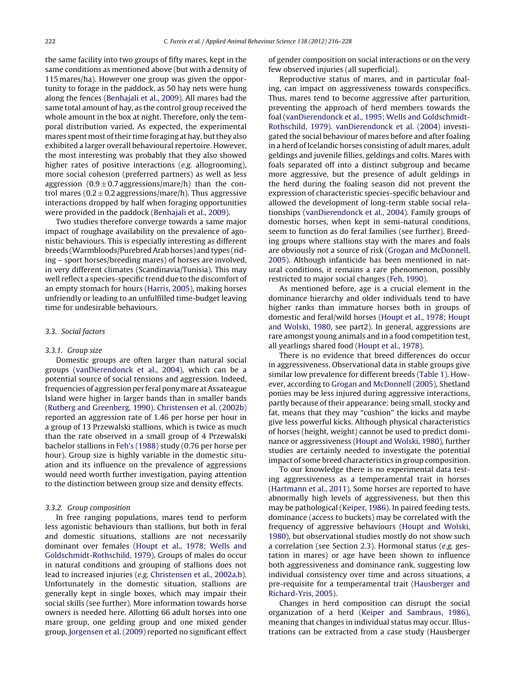the same facility into two groups of fifty mares, kept in the same conditions as mentioned above (but with a density of 115 mares/ha). However one group was given the opportunity to forage in the paddock, as 50 hay nets were hung along the fences [\(Benhajali](#page-11-0) et [al.,](#page-11-0) [2009\).](#page-11-0) All mares had the same total amount of hay, as the control group received the whole amount in the box at night. Therefore, only the temporal distribution varied. As expected, the experimental mares spent most of their time foraging at hay, but they also exhibited a larger overall behavioural repertoire. However, the most interesting was probably that they also showed higher rates of positive interactions (e.g. allogrooming), more social cohesion (preferred partners) as well as less aggression  $(0.9 \pm 0.7)$  aggressions/mare/h) than the control mares ( $0.2 \pm 0.2$  aggressions/mare/h). Thus aggressive interactions dropped by half when foraging opportunities were provided in the paddock [\(Benhajali](#page-11-0) et [al.,](#page-11-0) [2009\).](#page-11-0)

Two studies therefore converge towards a same major impact of roughage availability on the prevalence of agonistic behaviours. This is especially interesting as different breeds (Warmbloods/Purebred Arab horses) and types (riding – sport horses/breeding mares) of horses are involved, in very different climates (Scandinavia/Tunisia). This may well reflect a species-specific trend due to the discomfort of an empty stomach for hours [\(Harris,](#page-11-0) [2005\),](#page-11-0) making horses unfriendly or leading to an unfulfilled time-budget leaving time for undesirable behaviours.

## 3.3. Social factors

### 3.3.1. Group size

Domestic groups are often larger than natural social groups ([vanDierendonck](#page-12-0) et [al.,](#page-12-0) [2004\),](#page-12-0) which can be a potential source of social tensions and aggression. Indeed, frequencies of aggression per feral pony mare at Assateague Island were higher in larger bands than in smaller bands [\(Rutberg](#page-12-0) [and](#page-12-0) [Greenberg,](#page-12-0) [1990\).](#page-12-0) [Christensen](#page-11-0) et [al.](#page-11-0) [\(2002b\)](#page-11-0) reported an aggression rate of 1.46 per horse per hour in a group of 13 Przewalski stallions, which is twice as much than the rate observed in a small group of 4 Przewalski bachelor stallions in [Feh's](#page-11-0) [\(1988\)](#page-11-0) study (0.76 per horse per hour). Group size is highly variable in the domestic situation and its influence on the prevalence of aggressions would need worth further investigation, paying attention to the distinction between group size and density effects.

#### 3.3.2. Group composition

In free ranging populations, mares tend to perform less agonistic behaviours than stallions, but both in feral and domestic situations, stallions are not necessarily dominant over females ([Houpt](#page-12-0) et [al.,](#page-12-0) [1978;](#page-12-0) [Wells](#page-12-0) [and](#page-12-0) [Goldschmidt-Rothschild,](#page-12-0) [1979\).](#page-12-0) Groups of males do occur in natural conditions and grouping of stallions does not lead to increased injuries (e.g. [Christensen](#page-11-0) et [al.,](#page-11-0) [2002a,b\).](#page-11-0) Unfortunately in the domestic situation, stallions are generally kept in single boxes, which may impair their social skills (see further). More information towards horse owners is needed here. Allotting 66 adult horses into one mare group, one gelding group and one mixed gender group, [Jorgensen](#page-12-0) et [al.](#page-12-0) [\(2009\)](#page-12-0) reported no significant effect of gender composition on social interactions or on the very few observed injuries (all superficial).

Reproductive status of mares, and in particular foaling, can impact on aggressiveness towards conspecifics. Thus, mares tend to become aggressive after parturition, preventing the approach of herd members towards the foal [\(vanDierendonck](#page-12-0) et [al.,](#page-12-0) [1995;](#page-12-0) [Wells](#page-12-0) [and](#page-12-0) [Goldschmidt-](#page-12-0)Rothschild, [1979\).](#page-12-0) [vanDierendonck](#page-12-0) et [al.](#page-12-0) [\(2004\)](#page-12-0) investigated the social behaviour of mares before and after foaling in a herd of Icelandic horses consisting of adult mares, adult geldings and juvenile fillies, geldings and colts. Mares with foals separated off into a distinct subgroup and became more aggressive, but the presence of adult geldings in the herd during the foaling season did not prevent the expression of characteristic species-specific behaviour and allowed the development of long-term stable social relationships ([vanDierendonck](#page-12-0) et [al.,](#page-12-0) [2004\).](#page-12-0) Family groups of domestic horses, when kept in semi-natural conditions, seem to function as do feral families (see further). Breeding groups where stallions stay with the mares and foals are obviously not a source of risk [\(Grogan](#page-11-0) [and](#page-11-0) [McDonnell,](#page-11-0) [2005\).](#page-11-0) Although infanticide has been mentioned in natural conditions, it remains a rare phenomenon, possibly restricted to major social changes [\(Feh,](#page-11-0) [1990\).](#page-11-0)

As mentioned before, age is a crucial element in the dominance hierarchy and older individuals tend to have higher ranks than immature horses both in groups of domestic and feral/wild horses ([Houpt](#page-12-0) et [al.,](#page-12-0) [1978;](#page-12-0) [Houpt](#page-12-0) [and](#page-12-0) [Wolski,](#page-12-0) [1980,](#page-12-0) see part2). In general, aggressions are rare amongst young animals and in a food competition test, all yearlings shared food [\(Houpt](#page-12-0) et [al.,](#page-12-0) [1978\).](#page-12-0)

There is no evidence that breed differences do occur in aggressiveness. Observational data in stable groups give similar low prevalence for different breeds ([Table](#page-2-0) 1). However, according to [Grogan](#page-11-0) [and](#page-11-0) [McDonnell](#page-11-0) [\(2005\),](#page-11-0) Shetland ponies may be less injured during aggressive interactions, partly because of their appearance: being small, stocky and fat, means that they may "cushion" the kicks and maybe give less powerful kicks. Although physical characteristics of horses (height, weight) cannot be used to predict dominance or aggressiveness ([Houpt](#page-12-0) [and](#page-12-0) [Wolski,](#page-12-0) [1980\),](#page-12-0) further studies are certainly needed to investigate the potential impact of some breed characteristics in group composition.

To our knowledge there is no experimental data testing aggressiveness as a temperamental trait in horses [\(Hartmann](#page-11-0) et [al.,](#page-11-0) [2011\).](#page-11-0) Some horses are reported to have abnormally high levels of aggressiveness, but then this may be pathological [\(Keiper,](#page-12-0) [1986\).](#page-12-0) In paired feeding tests, dominance (access to buckets) may be correlated with the frequency of aggressive behaviours ([Houpt](#page-12-0) [and](#page-12-0) [Wolski,](#page-12-0) [1980\),](#page-12-0) but observational studies mostly do not show such a correlation (see Section [2.3\).](#page-3-0) Hormonal status (e.g. gestation in mares) or age have been shown to influence both aggressiveness and dominance rank, suggesting low individual consistency over time and across situations, a pre-requisite for a temperamental trait ([Hausberger](#page-11-0) [and](#page-11-0) [Richard-Yris,](#page-11-0) [2005\).](#page-11-0)

Changes in herd composition can disrupt the social organization of a herd [\(Keiper](#page-12-0) [and](#page-12-0) [Sambraus,](#page-12-0) [1986\),](#page-12-0) meaning that changes in individual status may occur. Illustrations can be extracted from a case study (Hausberger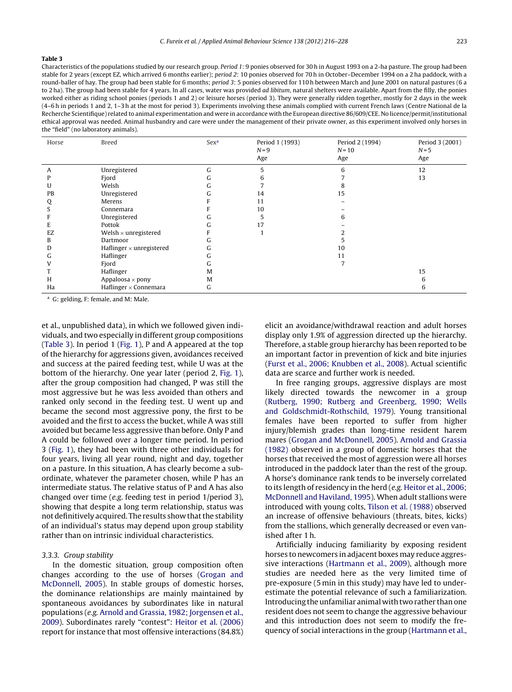#### **Table 3**

Characteristics of the populations studied by our research group. Period 1: 9 ponies observed for 30 h in August 1993 on a 2-ha pasture. The group had been stable for 2 years (except EZ, which arrived 6 months earlier); period 2: 10 ponies observed for 70 h in October–December 1994 on a 2 ha paddock, with a round-baller of hay. The group had been stable for 6 months; period 3: 5 ponies observed for 110 h between March and June 2001 on natural pastures (6 a to 2 ha). The group had been stable for 4 years. In all cases, water was provided ad libitum, natural shelters were available. Apart from the filly, the ponies worked either as riding school ponies (periods 1 and 2) or leisure horses (period 3). They were generally ridden together, mostly for 2 days in the week (4–6 h in periods 1 and 2, 1–3 h at the most for period 3). Experiments involving these animals complied with current French laws (Centre National de la Recherche Scientifique) related to animal experimentation and were in accordance with the European directive 86/609/CEE. No licence/permit/institutional ethical approval was needed. Animal husbandry and care were under the management of their private owner, as this experiment involved only horses in the "field" (no laboratory animals).

| Horse | Breed                           | Sex <sup>a</sup> | Period 1 (1993)<br>$N = 9$<br>Age | Period 2 (1994)<br>$N=10$<br>Age | Period 3 (2001)<br>$N = 5$<br>Age |
|-------|---------------------------------|------------------|-----------------------------------|----------------------------------|-----------------------------------|
| Α     | Unregistered                    | G                | 5                                 | 6                                | 12                                |
|       | Fjord                           | ι.               | 6                                 |                                  | 13                                |
| U     | Welsh                           | Lт               |                                   |                                  |                                   |
| PB    | Unregistered                    |                  | 14                                | 15                               |                                   |
| Q     | Merens                          |                  | 11                                |                                  |                                   |
|       | Connemara                       |                  | 10                                |                                  |                                   |
|       | Unregistered                    |                  | 5                                 | h                                |                                   |
|       | Pottok                          |                  | 17                                |                                  |                                   |
| EZ    | Welsh $\times$ unregistered     |                  |                                   |                                  |                                   |
| B     | Dartmoor                        | ι.               |                                   |                                  |                                   |
| D     | Haflinger $\times$ unregistered | ι.               |                                   | 10                               |                                   |
| ι.    | Haflinger                       | ι.               |                                   | 11                               |                                   |
|       | Fjord                           | lт               |                                   |                                  |                                   |
|       | Haflinger                       | M                |                                   |                                  | 15                                |
| Н     | Appaloosa $\times$ pony         | M                |                                   |                                  |                                   |
| Ha    | Haflinger $\times$ Connemara    | G                |                                   |                                  | h                                 |

<sup>a</sup> G: gelding, F: female, and M: Male.

et al., unpublished data), in which we followed given individuals, and two especially in different group compositions (Table 3). In period 1 [\(Fig.](#page-8-0) 1), P and A appeared at the top of the hierarchy for aggressions given, avoidances received and success at the paired feeding test, while U was at the bottom of the hierarchy. One year later (period 2, [Fig.](#page-8-0) 1), after the group composition had changed, P was still the most aggressive but he was less avoided than others and ranked only second in the feeding test. U went up and became the second most aggressive pony, the first to be avoided and the first to access the bucket, while A was still avoided but became less aggressive than before. Only P and A could be followed over a longer time period. In period 3 [\(Fig.](#page-8-0) 1), they had been with three other individuals for four years, living all year round, night and day, together on a pasture. In this situation, A has clearly become a subordinate, whatever the parameter chosen, while P has an intermediate status. The relative status of P and A has also changed over time (e.g. feeding test in period 1/period 3), showing that despite a long term relationship, status was not definitively acquired. The results show that the stability of an individual's status may depend upon group stability rather than on intrinsic individual characteristics.

### 3.3.3. Group stability

In the domestic situation, group composition often changes according to the use of horses [\(Grogan](#page-11-0) [and](#page-11-0) [McDonnell,](#page-11-0) [2005\).](#page-11-0) In stable groups of domestic horses, the dominance relationships are mainly maintained by spontaneous avoidances by subordinates like in natural populations (e.g. [Arnold](#page-11-0) [and](#page-11-0) [Grassia,](#page-11-0) [1982;](#page-11-0) [Jorgensen](#page-11-0) et [al.,](#page-11-0) [2009\).](#page-11-0) Subordinates rarely "contest": [Heitor](#page-11-0) et [al.](#page-11-0) [\(2006\)](#page-11-0) report for instance that most offensive interactions (84.8%)

elicit an avoidance/withdrawal reaction and adult horses display only 1.9% of aggression directed up the hierarchy. Therefore, a stable group hierarchy has been reported to be an important factor in prevention of kick and bite injuries [\(Furst](#page-11-0) et [al.,](#page-11-0) [2006;](#page-11-0) [Knubben](#page-11-0) et [al.,](#page-11-0) [2008\).](#page-11-0) Actual scientific data are scarce and further work is needed.

In free ranging groups, aggressive displays are most likely directed towards the newcomer in a group [\(Rutberg,](#page-12-0) [1990;](#page-12-0) [Rutberg](#page-12-0) [and](#page-12-0) [Greenberg,](#page-12-0) [1990;](#page-12-0) [Wells](#page-12-0) [and](#page-12-0) [Goldschmidt-Rothschild,](#page-12-0) [1979\).](#page-12-0) Young transitional females have been reported to suffer from higher injury/blemish grades than long-time resident harem mares [\(Grogan](#page-11-0) [and](#page-11-0) [McDonnell,](#page-11-0) [2005\).](#page-11-0) [Arnold](#page-11-0) [and](#page-11-0) [Grassia](#page-11-0) [\(1982\)](#page-11-0) observed in a group of domestic horses that the horses that received the most of aggression were all horses introduced in the paddock later than the rest of the group. A horse's dominance rank tends to be inversely correlated to its length of residency in the herd (e.g. [Heitor](#page-11-0) et [al.,](#page-11-0) [2006;](#page-11-0) [McDonnell](#page-11-0) [and](#page-11-0) [Haviland,](#page-11-0) [1995\).](#page-11-0) When adult stallions were introduced with young colts, [Tilson](#page-12-0) et [al.](#page-12-0) [\(1988\)](#page-12-0) observed an increase of offensive behaviours (threats, bites, kicks) from the stallions, which generally decreased or even vanished after 1 h.

Artificially inducing familiarity by exposing resident horses to newcomers in adjacent boxes may reduce aggressive interactions [\(Hartmann](#page-11-0) et [al.,](#page-11-0) [2009\),](#page-11-0) although more studies are needed here as the very limited time of pre-exposure (5 min in this study) may have led to underestimate the potential relevance of such a familiarization. Introducing the unfamiliar animal with two rather than one resident does not seem to change the aggressive behaviour and this introduction does not seem to modify the frequency of social interactions in the group ([Hartmann](#page-11-0) et [al.,](#page-11-0)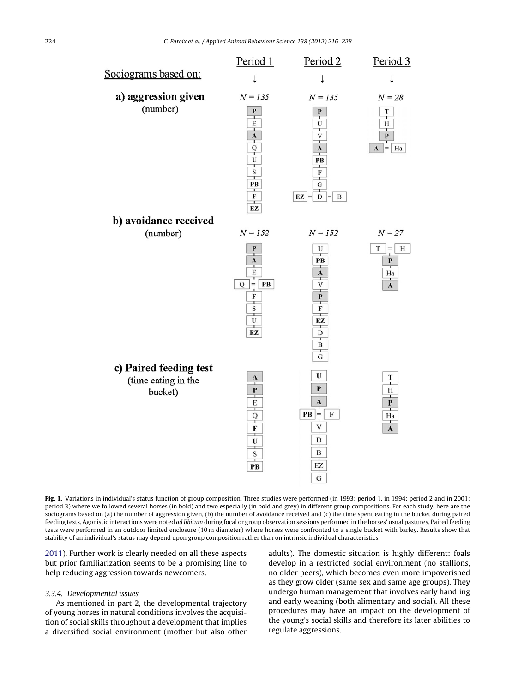<span id="page-8-0"></span>

Fig. 1. Variations in individual's status function of group composition. Three studies were performed (in 1993: period 1, in 1994: period 2 and in 2001: period 3) where we followed several horses (in bold) and two especially (in bold and grey) in different group compositions. For each study, here are the sociograms based on (a) the number of aggression given, (b) the number of avoidance received and (c) the time spent eating in the bucket during paired feeding tests. Agonistic interactions were noted ad libitum during focal or group observation sessions performed in the horses' usual pastures. Paired feeding tests were performed in an outdoor limited enclosure (10 m diameter) where horses were confronted to a single bucket with barley. Results show that stability of an individual's status may depend upon group composition rather than on intrinsic individual characteristics.

[2011\).](#page-11-0) Further work is clearly needed on all these aspects but prior familiarization seems to be a promising line to help reducing aggression towards newcomers.

#### 3.3.4. Developmental issues

As mentioned in part 2, the developmental trajectory of young horses in natural conditions involves the acquisition of social skills throughout a development that implies a diversified social environment (mother but also other

adults). The domestic situation is highly different: foals develop in a restricted social environment (no stallions, no older peers), which becomes even more impoverished as they grow older (same sex and same age groups). They undergo human management that involves early handling and early weaning (both alimentary and social). All these procedures may have an impact on the development of the young's social skills and therefore its later abilities to regulate aggressions.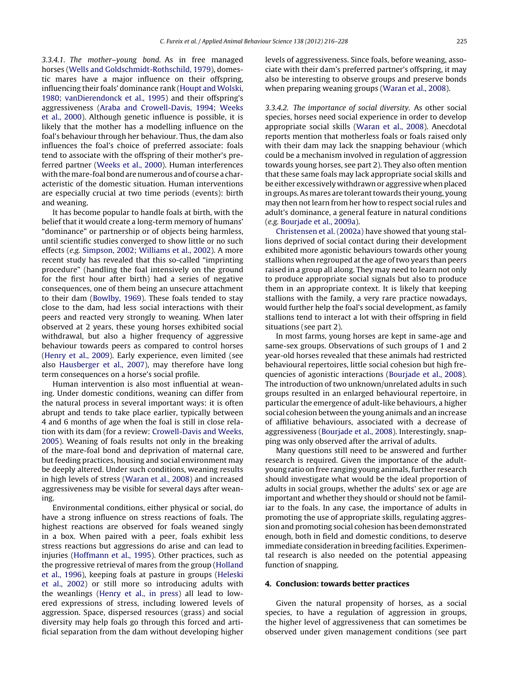3.3.4.1. The mother–young bond. As in free managed horses [\(Wells](#page-12-0) [and](#page-12-0) [Goldschmidt-Rothschild,](#page-12-0) [1979\),](#page-12-0) domestic mares have a major influence on their offspring, influencing their foals' dominance rank ([Houpt](#page-12-0) [and](#page-12-0) [Wolski,](#page-12-0) [1980;](#page-12-0) [vanDierendonck](#page-12-0) et [al.,](#page-12-0) [1995\)](#page-12-0) and their offspring's aggressiveness [\(Araba](#page-11-0) [and](#page-11-0) [Crowell-Davis,](#page-11-0) [1994;](#page-11-0) [Weeks](#page-11-0) et [al.,](#page-11-0) [2000\).](#page-11-0) Although genetic influence is possible, it is likely that the mother has a modelling influence on the foal's behaviour through her behaviour. Thus, the dam also influences the foal's choice of preferred associate: foals tend to associate with the offspring of their mother's preferred partner ([Weeks](#page-12-0) et [al.,](#page-12-0) [2000\).](#page-12-0) Human interferences with the mare-foal bond are numerous and of course a characteristic of the domestic situation. Human interventions are especially crucial at two time periods (events): birth and weaning.

It has become popular to handle foals at birth, with the belief that it would create a long-term memory of humans' "dominance" or partnership or of objects being harmless, until scientific studies converged to show little or no such effects (e.g. [Simpson,](#page-12-0) [2002;](#page-12-0) [Williams](#page-12-0) et [al.,](#page-12-0) [2002\).](#page-12-0) A more recent study has revealed that this so-called "imprinting procedure" (handling the foal intensively on the ground for the first hour after birth) had a series of negative consequences, one of them being an unsecure attachment to their dam [\(Bowlby,](#page-11-0) [1969\).](#page-11-0) These foals tended to stay close to the dam, had less social interactions with their peers and reacted very strongly to weaning. When later observed at 2 years, these young horses exhibited social withdrawal, but also a higher frequency of aggressive behaviour towards peers as compared to control horses [\(Henry](#page-11-0) et [al.,](#page-11-0) [2009\).](#page-11-0) Early experience, even limited (see also [Hausberger](#page-11-0) et [al.,](#page-11-0) [2007\),](#page-11-0) may therefore have long term consequences on a horse's social profile.

Human intervention is also most influential at weaning. Under domestic conditions, weaning can differ from the natural process in several important ways: it is often abrupt and tends to take place earlier, typically between 4 and 6 months of age when the foal is still in close relation with its dam (for a review: [Crowell-Davis](#page-11-0) [and](#page-11-0) [Weeks,](#page-11-0) [2005\).](#page-11-0) Weaning of foals results not only in the breaking of the mare-foal bond and deprivation of maternal care, but feeding practices, housing and social environment may be deeply altered. Under such conditions, weaning results in high levels of stress ([Waran](#page-12-0) et [al.,](#page-12-0) [2008\)](#page-12-0) and increased aggressiveness may be visible for several days after weaning.

Environmental conditions, either physical or social, do have a strong influence on stress reactions of foals. The highest reactions are observed for foals weaned singly in a box. When paired with a peer, foals exhibit less stress reactions but aggressions do arise and can lead to injuries [\(Hoffmann](#page-11-0) et [al.,](#page-11-0) [1995\).](#page-11-0) Other practices, such as the progressive retrieval of mares from the group [\(Holland](#page-11-0) et [al.,](#page-11-0) [1996\),](#page-11-0) keeping foals at pasture in groups [\(Heleski](#page-11-0) et [al.,](#page-11-0) [2002\)](#page-11-0) or still more so introducing adults with the weanlings [\(Henry](#page-11-0) et [al.,](#page-11-0) [in](#page-11-0) [press\)](#page-11-0) all lead to lowered expressions of stress, including lowered levels of aggression. Space, dispersed resources (grass) and social diversity may help foals go through this forced and artificial separation from the dam without developing higher

levels of aggressiveness. Since foals, before weaning, associate with their dam's preferred partner's offspring, it may also be interesting to observe groups and preserve bonds when preparing weaning groups ([Waran](#page-12-0) et [al.,](#page-12-0) [2008\).](#page-12-0)

3.3.4.2. The importance of social diversity. As other social species, horses need social experience in order to develop appropriate social skills [\(Waran](#page-12-0) et [al.,](#page-12-0) [2008\).](#page-12-0) Anecdotal reports mention that motherless foals or foals raised only with their dam may lack the snapping behaviour (which could be a mechanism involved in regulation of aggression towards young horses, see part 2). They also often mention that these same foals may lack appropriate social skills and be either excessively withdrawn or aggressive when placed in groups. As mares are tolerant towards their young, young may then not learn from her how to respect social rules and adult's dominance, a general feature in natural conditions (e.g. [Bourjade](#page-11-0) et [al.,](#page-11-0) [2009a\).](#page-11-0)

[Christensen](#page-11-0) et [al.](#page-11-0) [\(2002a\)](#page-11-0) have showed that young stallions deprived of social contact during their development exhibited more agonistic behaviours towards other young stallions when regrouped atthe age oftwo years than peers raised in a group all along. They may need to learn not only to produce appropriate social signals but also to produce them in an appropriate context. It is likely that keeping stallions with the family, a very rare practice nowadays, would further help the foal's social development, as family stallions tend to interact a lot with their offspring in field situations (see part 2).

In most farms, young horses are kept in same-age and same-sex groups. Observations of such groups of 1 and 2 year-old horses revealed that these animals had restricted behavioural repertoires, little social cohesion but high frequencies of agonistic interactions [\(Bourjade](#page-11-0) et [al.,](#page-11-0) [2008\).](#page-11-0) The introduction of two unknown/unrelated adults in such groups resulted in an enlarged behavioural repertoire, in particular the emergence of adult-like behaviours, a higher social cohesion between the young animals and an increase of affiliative behaviours, associated with a decrease of aggressiveness [\(Bourjade](#page-11-0) et [al.,](#page-11-0) [2008\).](#page-11-0) Interestingly, snapping was only observed after the arrival of adults.

Many questions still need to be answered and further research is required. Given the importance of the adultyoung ratio on free ranging young animals, further research should investigate what would be the ideal proportion of adults in social groups, whether the adults' sex or age are important and whether they should or should not be familiar to the foals. In any case, the importance of adults in promoting the use of appropriate skills, regulating aggression and promoting social cohesion has been demonstrated enough, both in field and domestic conditions, to deserve immediate consideration in breeding facilities. Experimental research is also needed on the potential appeasing function of snapping.

### **4. Conclusion: towards better practices**

Given the natural propensity of horses, as a social species, to have a regulation of aggression in groups, the higher level of aggressiveness that can sometimes be observed under given management conditions (see part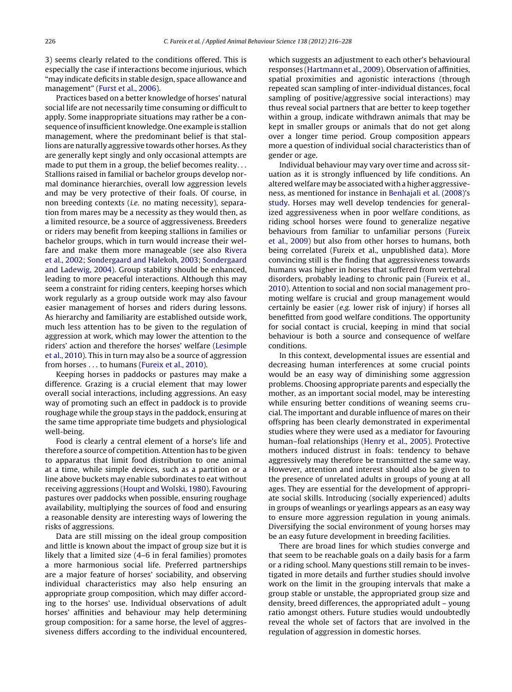3) seems clearly related to the conditions offered. This is especially the case if interactions become injurious, which "may indicate deficits in stable design, space allowance and management" ([Furst](#page-11-0) et [al.,](#page-11-0) [2006\).](#page-11-0)

Practices based on a better knowledge of horses' natural social life are not necessarily time consuming or difficult to apply. Some inappropriate situations may rather be a consequence ofinsufficient knowledge. One example is stallion management, where the predominant belief is that stallions are naturally aggressive towards other horses. As they are generally kept singly and only occasional attempts are made to put them in a group, the belief becomes reality. . . Stallions raised in familial or bachelor groups develop normal dominance hierarchies, overall low aggression levels and may be very protective of their foals. Of course, in non breeding contexts (i.e. no mating necessity), separation from mares may be a necessity as they would then, as a limited resource, be a source of aggressiveness. Breeders or riders may benefit from keeping stallions in families or bachelor groups, which in turn would increase their welfare and make them more manageable (see also [Rivera](#page-12-0) et [al.,](#page-12-0) [2002;](#page-12-0) [Sondergaard](#page-12-0) [and](#page-12-0) [Halekoh,](#page-12-0) [2003;](#page-12-0) [Sondergaard](#page-12-0) [and](#page-12-0) [Ladewig,](#page-12-0) [2004\).](#page-12-0) Group stability should be enhanced, leading to more peaceful interactions. Although this may seem a constraint for riding centers, keeping horses which work regularly as a group outside work may also favour easier management of horses and riders during lessons. As hierarchy and familiarity are established outside work, much less attention has to be given to the regulation of aggression at work, which may lower the attention to the riders' action and therefore the horses' welfare ([Lesimple](#page-12-0) et [al.,](#page-12-0) [2010\).](#page-12-0) This in turn may also be a source of aggression from horses . . . to humans ([Fureix](#page-11-0) et [al.,](#page-11-0) [2010\).](#page-11-0)

Keeping horses in paddocks or pastures may make a difference. Grazing is a crucial element that may lower overall social interactions, including aggressions. An easy way of promoting such an effect in paddock is to provide roughage while the group stays in the paddock, ensuring at the same time appropriate time budgets and physiological well-being.

Food is clearly a central element of a horse's life and therefore a source of competition. Attention has to be given to apparatus that limit food distribution to one animal at a time, while simple devices, such as a partition or a line above buckets may enable subordinates to eat without receiving aggressions ([Houpt](#page-12-0) [and](#page-12-0) [Wolski,](#page-12-0) [1980\).](#page-12-0) Favouring pastures over paddocks when possible, ensuring roughage availability, multiplying the sources of food and ensuring a reasonable density are interesting ways of lowering the risks of aggressions.

Data are still missing on the ideal group composition and little is known about the impact of group size but it is likely that a limited size (4–6 in feral families) promotes a more harmonious social life. Preferred partnerships are a major feature of horses' sociability, and observing individual characteristics may also help ensuring an appropriate group composition, which may differ according to the horses' use. Individual observations of adult horses' affinities and behaviour may help determining group composition: for a same horse, the level of aggressiveness differs according to the individual encountered, which suggests an adjustment to each other's behavioural responses [\(Hartmann](#page-11-0) et [al.,](#page-11-0) [2009\).](#page-11-0) Observation of affinities, spatial proximities and agonistic interactions (through repeated scan sampling of inter-individual distances, focal sampling of positive/aggressive social interactions) may thus reveal social partners that are better to keep together within a group, indicate withdrawn animals that may be kept in smaller groups or animals that do not get along over a longer time period. Group composition appears more a question of individual social characteristics than of gender or age.

Individual behaviour may vary over time and across situation as it is strongly influenced by life conditions. An altered welfare may be associated with a higher aggressiveness, as mentioned for instance in [Benhajali](#page-11-0) et [al.](#page-11-0) [\(2008\)'s](#page-11-0) [study.](#page-11-0) Horses may well develop tendencies for generalized aggressiveness when in poor welfare conditions, as riding school horses were found to generalize negative behaviours from familiar to unfamiliar persons [\(Fureix](#page-11-0) et [al.,](#page-11-0) [2009\)](#page-11-0) but also from other horses to humans, both being correlated (Fureix et al., unpublished data). More convincing still is the finding that aggressiveness towards humans was higher in horses that suffered from vertebral disorders, probably leading to chronic pain [\(Fureix](#page-11-0) et [al.,](#page-11-0) [2010\).](#page-11-0) Attention to social and non social management promoting welfare is crucial and group management would certainly be easier (e.g. lower risk of injury) if horses all benefitted from good welfare conditions. The opportunity for social contact is crucial, keeping in mind that social behaviour is both a source and consequence of welfare conditions.

In this context, developmental issues are essential and decreasing human interferences at some crucial points would be an easy way of diminishing some aggression problems. Choosing appropriate parents and especially the mother, as an important social model, may be interesting while ensuring better conditions of weaning seems crucial. The important and durable influence of mares on their offspring has been clearly demonstrated in experimental studies where they were used as a mediator for favouring human–foal relationships ([Henry](#page-11-0) et [al.,](#page-11-0) [2005\).](#page-11-0) Protective mothers induced distrust in foals: tendency to behave aggressively may therefore be transmitted the same way. However, attention and interest should also be given to the presence of unrelated adults in groups of young at all ages. They are essential for the development of appropriate social skills. Introducing (socially experienced) adults in groups of weanlings or yearlings appears as an easy way to ensure more aggression regulation in young animals. Diversifying the social environment of young horses may be an easy future development in breeding facilities.

There are broad lines for which studies converge and that seem to be reachable goals on a daily basis for a farm or a riding school. Many questions still remain to be investigated in more details and further studies should involve work on the limit in the grouping intervals that make a group stable or unstable, the appropriated group size and density, breed differences, the appropriated adult – young ratio amongst others. Future studies would undoubtedly reveal the whole set of factors that are involved in the regulation of aggression in domestic horses.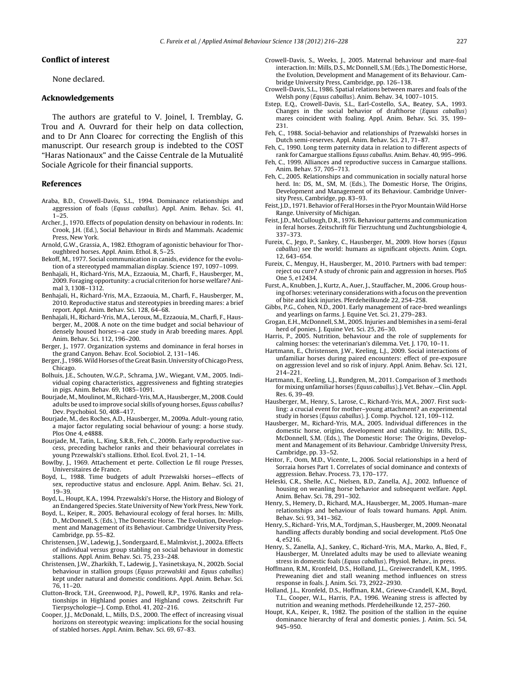## <span id="page-11-0"></span>**Conflict of interest**

None declared.

#### **Acknowledgements**

The authors are grateful to V. Joinel, I. Tremblay, G. Trou and A. Ouvrard for their help on data collection, and to Dr Ann Cloarec for correcting the English of this manuscript. Our research group is indebted to the COST "Haras Nationaux" and the Caisse Centrale de la Mutualité Sociale Agricole for their financial supports.

#### **References**

- Araba, B.D., Crowell-Davis, S.L., 1994. Dominance relationships and aggression of foals (Equus caballus). Appl. Anim. Behav. Sci. 41, 1–25.
- Archer, J., 1970. Effects of population density on behaviour in rodents. In: Crook, J.H. (Ed.), Social Behaviour in Birds and Mammals. Academic Press, New York.
- Arnold, G.W., Grassia, A., 1982. Ethogram of agonistic behaviour for Thoroughbred horses. Appl. Anim. Ethol. 8, 5–25.
- Bekoff, M., 1977. Social communication in canids, evidence for the evolution of a stereotyped mammalian display. Science 197, 1097–1099.
- Benhajali, H., Richard-Yris, M.A., Ezzaouia, M., Charfi, F., Hausberger, M., 2009. Foraging opportunity: a crucial criterion for horse welfare? Animal 3, 1308–1312.
- Benhajali, H., Richard-Yris, M.A., Ezzaouia, M., Charfi, F., Hausberger, M., 2010. Reproductive status and stereotypies in breeding mares: a brief report. Appl. Anim. Behav. Sci. 128, 64–68.
- Benhajali, H., Richard-Yris, M.A., Leroux, M., Ezzaouia, M., Charfi, F., Hausberger, M., 2008. A note on the time budget and social behaviour of densely housed horses—a case study in Arab breeding mares. Appl. Anim. Behav. Sci. 112, 196–200.
- Berger, J., 1977. Organization systems and dominance in feral horses in the grand Canyon. Behav. Ecol. Sociobiol. 2, 131–146.
- Berger,J., 1986.Wild Horses ofthe Great Basin. University of Chicago Press, Chicago.
- Bolhuis, J.E., Schouten, W.G.P., Schrama, J.W., Wiegant, V.M., 2005. Individual coping characteristics, aggressiveness and fighting strategies in pigs. Anim. Behav. 69, 1085–1091.
- Bourjade, M., Moulinot, M., Richard-Yris, M.A., Hausberger, M., 2008. Could adults be used to improve social skills of young horses, Equus caballus? Dev. Psychobiol. 50, 408–417.
- Bourjade, M., des Roches, A.D., Hausberger, M., 2009a. Adult–young ratio, a major factor regulating social behaviour of young: a horse study. Plos One 4, e4888.
- Bourjade, M., Tatin, L., King, S.R.B., Feh, C., 2009b. Early reproductive success, preceding bachelor ranks and their behavioural correlates in young Przewalski's stallions. Ethol. Ecol. Evol. 21, 1–14.
- Bowlby, J., 1969. Attachement et perte. Collection Le fil rouge Presses, Universitaires de France.
- Boyd, L., 1988. Time budgets of adult Przewalski horses—effects of sex, reproductive status and enclosure. Appl. Anim. Behav. Sci. 21, 19–39.
- Boyd, L., Houpt, K.A., 1994. Przewalski's Horse, the History and Biology of an Endangered Species. State University of New York Press, New York.
- Boyd, L., Keiper, R., 2005. Behavioural ecology of feral horses. In: Mills, D., McDonnell, S. (Eds.), The Domestic Horse. The Evolution, Development and Management of its Behaviour. Cambridge University Press, Cambridge, pp. 55–82.
- Christensen, J.W., Ladewig, J., Sondergaard, E., Malmkvist, J., 2002a. Effects of individual versus group stabling on social behaviour in domestic stallions. Appl. Anim. Behav. Sci. 75, 233–248.
- Christensen, J.W., Zharkikh, T., Ladewig, J., Yasinetskaya, N., 2002b. Social behaviour in stallion groups (Equus przewalskii and Equus caballus) kept under natural and domestic conditions. Appl. Anim. Behav. Sci. 76, 11–20.
- Clutton-Brock, T.H., Greenwood, P.J., Powell, R.P., 1976. Ranks and relationships in Highland ponies and Highland cows. Zeitschrift Fur Tierpsychologie—J. Comp. Ethol. 41, 202–216.
- Cooper, J.J., McDonald, L., Mills, D.S., 2000. The effect of increasing visual horizons on stereotypic weaving: implications for the social housing of stabled horses. Appl. Anim. Behav. Sci. 69, 67–83.
- Crowell-Davis, S., Weeks, J., 2005. Maternal behaviour and mare-foal interaction. In: Mills, D.S., Mc Donnell, S.M.(Eds.), The Domestic Horse, the Evolution, Development and Management of its Behaviour. Cambridge University Press, Cambridge, pp. 126–138.
- Crowell-Davis, S.L., 1986. Spatial relations between mares and foals of the Welsh pony (Equus caballus). Anim. Behav. 34, 1007–1015.
- Estep, E.Q., Crowell-Davis, S.L., Earl-Costello, S.A., Beatey, S.A., 1993. Changes in the social behavior of drafthorse (Equus caballus) mares coincident with foaling. Appl. Anim. Behav. Sci. 35, 199– 231.
- Feh, C., 1988. Social-behavior and relationships of Przewalski horses in Dutch semi-reserves. Appl. Anim. Behav. Sci. 21, 71–87.
- Feh, C., 1990. Long term paternity data in relation to different aspects of rank for Camargue stallions Equus caballus. Anim. Behav. 40, 995–996.
- Feh, C., 1999. Alliances and reproductive success in Camargue stallions. Anim. Behav. 57, 705–713.
- Feh, C., 2005. Relationships and communication in socially natural horse herd. In: DS, M., SM, M. (Eds.), The Domestic Horse, The Origins, Development and Management of its Behaviour. Cambridge University Press, Cambridge, pp. 83–93.
- Feist, J.D., 1971. Behavior of Feral Horses in the Pryor Mountain Wild Horse Range. University of Michigan.
- Feist, J.D., McCullough, D.R., 1976. Behaviour patterns and communication in feral horses. Zeitschrift für Tierzuchtung und Zuchtungsbiologie 4, 337–373.
- Fureix, C., Jego, P., Sankey, C., Hausberger, M., 2009. How horses (Equus caballus) see the world: humans as significant objects. Anim. Cogn. 12, 643–654.
- Fureix, C., Menguy, H., Hausberger, M., 2010. Partners with bad temper: reject ou cure? A study of chronic pain and aggression in horses. PloS One 5, e12434.
- Furst, A., Knubben, J., Kurtz, A., Auer, J., Stauffacher, M., 2006. Group housing of horses: veterinary considerations with a focus on the prevention of bite and kick injuries. Pferdeheilkunde 22, 254–258.
- Gibbs, P.G., Cohen, N.D., 2001. Early management of race-bred weanlings and yearlings on farms. J. Equine Vet. Sci. 21, 279–283.
- Grogan, E.H., McDonnell, S.M., 2005. Injuries and blemishes in a semi-feral herd of ponies. J. Equine Vet. Sci. 25, 26–30.
- Harris, P., 2005. Nutrition, behaviour and the role of supplements for calming horses: the veterinarian's dilemma. Vet. J. 170, 10–11.
- Hartmann, E., Christensen, J.W., Keeling, L.J., 2009. Social interactions of unfamiliar horses during paired encounters: effect of pre-exposure on aggression level and so risk of injury. Appl. Anim. Behav. Sci. 121, 214–221.
- Hartmann, E., Keeling, L.J., Rundgren, M., 2011. Comparison of 3 methods for mixing unfamiliar horses (Equus caballus). J. Vet. Behav.-Clin. Appl. Res. 6, 39–49.
- Hausberger, M., Henry, S., Larose, C., Richard-Yris, M.A., 2007. First suckling: a crucial event for mother–young attachment? an experimental study in horses (Equus caballus). J. Comp. Psychol. 121, 109–112.
- Hausberger, M., Richard-Yris, M.A., 2005. Individual differences in the domestic horse, origins, development and stability. In: Mills, D.S., McDonnell, S.M. (Eds.), The Domestic Horse: The Origins, Development and Management of its Behaviour. Cambridge University Press, Cambridge, pp. 33–52.
- Heitor, F., Oom, M.D., Vicente, L., 2006. Social relationships in a herd of Sorraia horses Part 1. Correlates of social dominance and contexts of aggression. Behav. Process. 73, 170–177.
- Heleski, C.R., Shelle, A.C., Nielsen, B.D., Zanella, A.J., 2002. Influence of housing on weanling horse behavior and subsequent welfare. Appl. Anim. Behav. Sci. 78, 291–302.
- Henry, S., Hemery, D., Richard, M.A., Hausberger, M., 2005. Human–mare relationships and behaviour of foals toward humans. Appl. Anim. Behav. Sci. 93, 341–362.
- Henry, S., Richard- Yris, M.A., Tordjman, S., Hausberger, M., 2009. Neonatal handling affects durably bonding and social development. PLoS One 4, e5216.
- Henry, S., Zanella, A.J., Sankey, C., Richard-Yris, M.A., Marko, A., Bled, F., Hausberger, M. Unrelated adults may be used to alleviate weaning stress in domestic foals (Equus caballus). Physiol. Behav., in press.
- Hoffmann, R.M., Kronfeld, D.S., Holland, J.L., Greiwecrandell, K.M., 1995. Preweaning diet and stall weaning method influences on stress response in foals. J. Anim. Sci. 73, 2922–2930.
- Holland, J.L., Kronfeld, D.S., Hoffman, R.M., Griewe-Crandell, K.M., Boyd, T.L., Cooper, W.L., Harris, P.A., 1996. Weaning stress is affected by nutrition and weaning methods. Pferdeheilkunde 12, 257–260.
- Houpt, K.A., Keiper, R., 1982. The position of the stallion in the equine dominance hierarchy of feral and domestic ponies. J. Anim. Sci. 54, 945–950.